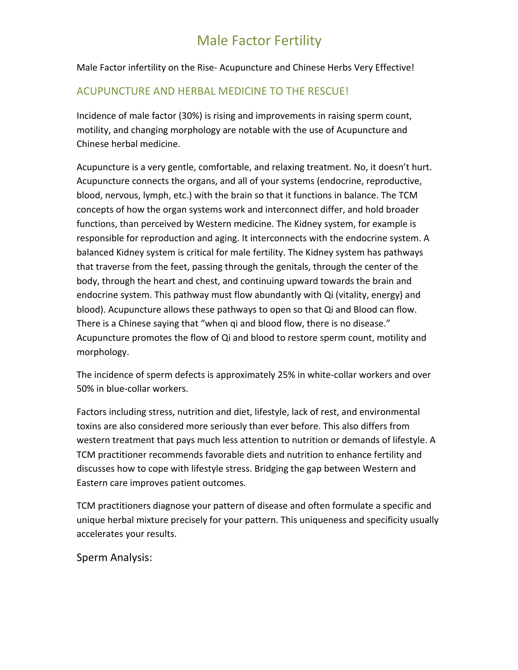Male Factor infertility on the Rise- Acupuncture and Chinese Herbs Very Effective!

#### ACUPUNCTURE AND HERBAL MEDICINE TO THE RESCUE!

Incidence of male factor (30%) is rising and improvements in raising sperm count, motility, and changing morphology are notable with the use of Acupuncture and Chinese herbal medicine.

Acupuncture is a very gentle, comfortable, and relaxing treatment. No, it doesn't hurt. Acupuncture connects the organs, and all of your systems (endocrine, reproductive, blood, nervous, lymph, etc.) with the brain so that it functions in balance. The TCM concepts of how the organ systems work and interconnect differ, and hold broader functions, than perceived by Western medicine. The Kidney system, for example is responsible for reproduction and aging. It interconnects with the endocrine system. A balanced Kidney system is critical for male fertility. The Kidney system has pathways that traverse from the feet, passing through the genitals, through the center of the body, through the heart and chest, and continuing upward towards the brain and endocrine system. This pathway must flow abundantly with Qi (vitality, energy) and blood). Acupuncture allows these pathways to open so that Qi and Blood can flow. There is a Chinese saying that "when qi and blood flow, there is no disease." Acupuncture promotes the flow of Qi and blood to restore sperm count, motility and morphology.

The incidence of sperm defects is approximately 25% in white-collar workers and over 50% in blue-collar workers.

Factors including stress, nutrition and diet, lifestyle, lack of rest, and environmental toxins are also considered more seriously than ever before. This also differs from western treatment that pays much less attention to nutrition or demands of lifestyle. A TCM practitioner recommends favorable diets and nutrition to enhance fertility and discusses how to cope with lifestyle stress. Bridging the gap between Western and Eastern care improves patient outcomes.

TCM practitioners diagnose your pattern of disease and often formulate a specific and unique herbal mixture precisely for your pattern. This uniqueness and specificity usually accelerates your results.

Sperm Analysis: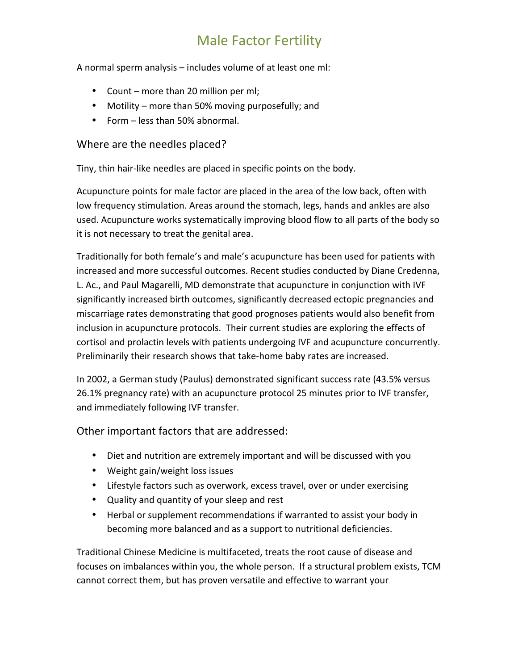A normal sperm analysis - includes volume of at least one ml:

- Count more than 20 million per ml;
- Motility more than 50% moving purposefully; and
- Form less than 50% abnormal.

#### Where are the needles placed?

Tiny, thin hair-like needles are placed in specific points on the body.

Acupuncture points for male factor are placed in the area of the low back, often with low frequency stimulation. Areas around the stomach, legs, hands and ankles are also used. Acupuncture works systematically improving blood flow to all parts of the body so it is not necessary to treat the genital area.

Traditionally for both female's and male's acupuncture has been used for patients with increased and more successful outcomes. Recent studies conducted by Diane Credenna, L. Ac., and Paul Magarelli, MD demonstrate that acupuncture in conjunction with IVF significantly increased birth outcomes, significantly decreased ectopic pregnancies and miscarriage rates demonstrating that good prognoses patients would also benefit from inclusion in acupuncture protocols. Their current studies are exploring the effects of cortisol and prolactin levels with patients undergoing IVF and acupuncture concurrently. Preliminarily their research shows that take-home baby rates are increased.

In 2002, a German study (Paulus) demonstrated significant success rate (43.5% versus 26.1% pregnancy rate) with an acupuncture protocol 25 minutes prior to IVF transfer, and immediately following IVF transfer.

Other important factors that are addressed:

- Diet and nutrition are extremely important and will be discussed with you
- Weight gain/weight loss issues
- Lifestyle factors such as overwork, excess travel, over or under exercising
- Quality and quantity of your sleep and rest
- Herbal or supplement recommendations if warranted to assist your body in becoming more balanced and as a support to nutritional deficiencies.

Traditional Chinese Medicine is multifaceted, treats the root cause of disease and focuses on imbalances within you, the whole person. If a structural problem exists, TCM cannot correct them, but has proven versatile and effective to warrant your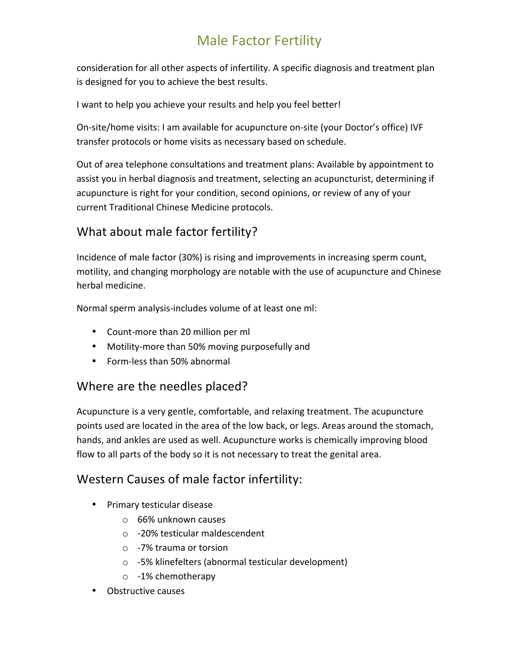consideration for all other aspects of infertility. A specific diagnosis and treatment plan is designed for you to achieve the best results.

I want to help you achieve your results and help you feel better!

On-site/home visits: I am available for acupuncture on-site (your Doctor's office) IVF transfer protocols or home visits as necessary based on schedule.

Out of area telephone consultations and treatment plans: Available by appointment to assist you in herbal diagnosis and treatment, selecting an acupuncturist, determining if acupuncture is right for your condition, second opinions, or review of any of your current Traditional Chinese Medicine protocols.

### What about male factor fertility?

Incidence of male factor (30%) is rising and improvements in increasing sperm count, motility, and changing morphology are notable with the use of acupuncture and Chinese herbal medicine.

Normal sperm analysis-includes volume of at least one ml:

- Count-more than 20 million per ml
- Motility-more than 50% moving purposefully and
- Form-less than 50% abnormal

#### Where are the needles placed?

Acupuncture is a very gentle, comfortable, and relaxing treatment. The acupuncture points used are located in the area of the low back, or legs. Areas around the stomach, hands, and ankles are used as well. Acupuncture works is chemically improving blood flow to all parts of the body so it is not necessary to treat the genital area.

#### Western Causes of male factor infertility:

- Primary testicular disease
	- $\circ$  66% unknown causes
	- -20% testicular maldescendent
	- $\circ$  -7% trauma or torsion
	- $\circ$  -5% klinefelters (abnormal testicular development)
	- o -1% chemotherapy
- Obstructive causes